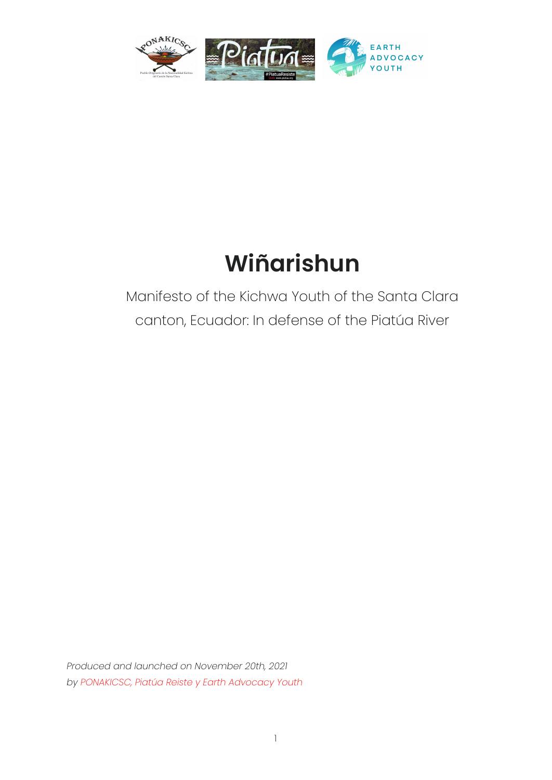

# **Wiñarishun**

# Manifesto of the Kichwa Youth of the Santa Clara canton, Ecuador: In defense of the Piatúa River

*Produced and launched on November 20th, 2021 by PONAKICSC, Piatúa Reiste y Earth Advocacy Youth*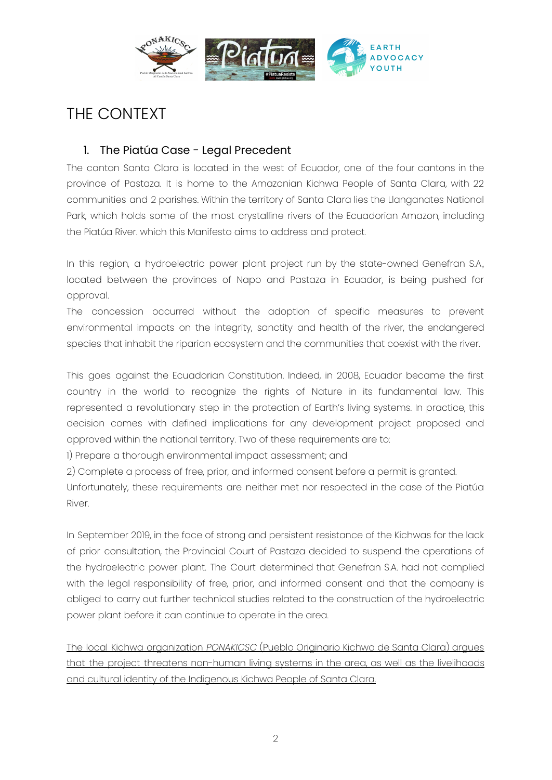

## THE CONTEXT

#### 1. The Piatúa Case - Legal Precedent

The canton Santa Clara is located in the west of Ecuador, one of the four cantons in the province of Pastaza. It is home to the Amazonian Kichwa People of Santa Clara, with 22 communities and 2 parishes. Within the territory of Santa Clara lies the Llanganates National Park, which holds some of the most crystalline rivers of the Ecuadorian Amazon, including the Piatúa River. which this Manifesto aims to address and protect.

In this region, a hydroelectric power plant project run by the state-owned Genefran S.A., located between the provinces of Napo and Pastaza in Ecuador, is being pushed for approval.

The concession occurred without the adoption of specific measures to prevent environmental impacts on the integrity, sanctity and health of the river, the endangered species that inhabit the riparian ecosystem and the communities that coexist with the river.

This goes against the Ecuadorian Constitution. Indeed, in 2008, Ecuador became the first country in the world to recognize the rights of Nature in its fundamental law. This represented a revolutionary step in the protection of Earth's living systems. In practice, this decision comes with defined implications for any development project proposed and approved within the national territory. Two of these requirements are to:

1) Prepare a thorough environmental impact assessment; and

2) Complete a process of free, prior, and informed consent before a permit is granted. Unfortunately, these requirements are neither met nor respected in the case of the Piatúa River.

In September 2019, in the face of strong and persistent resistance of the Kichwas for the lack of prior consultation, the Provincial Court of Pastaza decided to suspend the operations of the hydroelectric power plant. The Court determined that Genefran S.A. had not complied with the legal responsibility of free, prior, and informed consent and that the company is obliged to carry out further technical studies related to the construction of the hydroelectric power plant before it can continue to operate in the area.

The local Kichwa organization *PONAKICSC* (Pueblo Originario Kichwa de Santa Clara) argues that the project threatens non-human living systems in the area, as well as the livelihoods and cultural identity of the Indigenous Kichwa People of Santa Clara.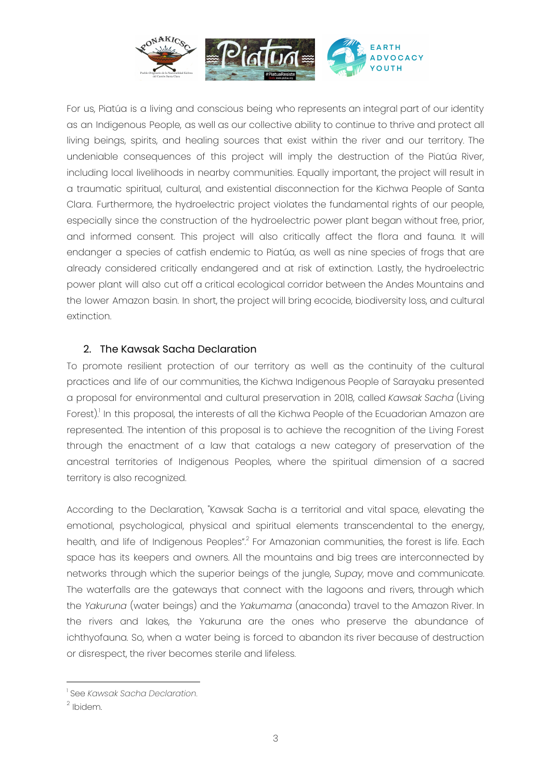

For us, Piatúa is a living and conscious being who represents an integral part of our identity as an Indigenous People, as well as our collective ability to continue to thrive and protect all living beings, spirits, and healing sources that exist within the river and our territory. The undeniable consequences of this project will imply the destruction of the Piatúa River, including local livelihoods in nearby communities. Equally important, the project will result in a traumatic spiritual, cultural, and existential disconnection for the Kichwa People of Santa Clara. Furthermore, the hydroelectric project violates the fundamental rights of our people, especially since the construction of the hydroelectric power plant began without free, prior, and informed consent. This project will also critically affect the flora and fauna. It will endanger a species of catfish endemic to Piatúa, as well as nine species of frogs that are already considered critically endangered and at risk of extinction. Lastly, the hydroelectric power plant will also cut off a critical ecological corridor between the Andes Mountains and the lower Amazon basin. In short, the project will bring ecocide, biodiversity loss, and cultural extinction.

#### 2. The Kawsak Sacha Declaration

To promote resilient protection of our territory as well as the continuity of the cultural practices and life of our communities, the Kichwa Indigenous People of Sarayaku presented a proposal for environmental and cultural preservation in 2018, called *Kawsak Sacha* (Living Forest).<sup>1</sup> In this proposal, the interests of all the Kichwa People of the Ecuadorian Amazon are represented. The intention of this proposal is to achieve the recognition of the Living Forest through the enactment of a law that catalogs a new category of preservation of the ancestral territories of Indigenous Peoples, where the spiritual dimension of a sacred territory is also recognized.

According to the Declaration, "Kawsak Sacha is a territorial and vital space, elevating the emotional, psychological, physical and spiritual elements transcendental to the energy, health, and life of Indigenous Peoples".<sup>2</sup> For Amazonian communities, the forest is life. Each space has its keepers and owners. All the mountains and big trees are interconnected by networks through which the superior beings of the jungle, *Supay*, move and communicate. The waterfalls are the gateways that connect with the lagoons and rivers, through which the *Yakuruna* (water beings) and the *Yakumama* (anaconda) travel to the Amazon River. In the rivers and lakes, the Yakuruna are the ones who preserve the abundance of ichthyofauna. So, when a water being is forced to abandon its river because of destruction or disrespect, the river becomes sterile and lifeless.

<sup>1</sup> See *Kawsak Sacha Declaration*.

<sup>&</sup>lt;sup>2</sup> Ibidem.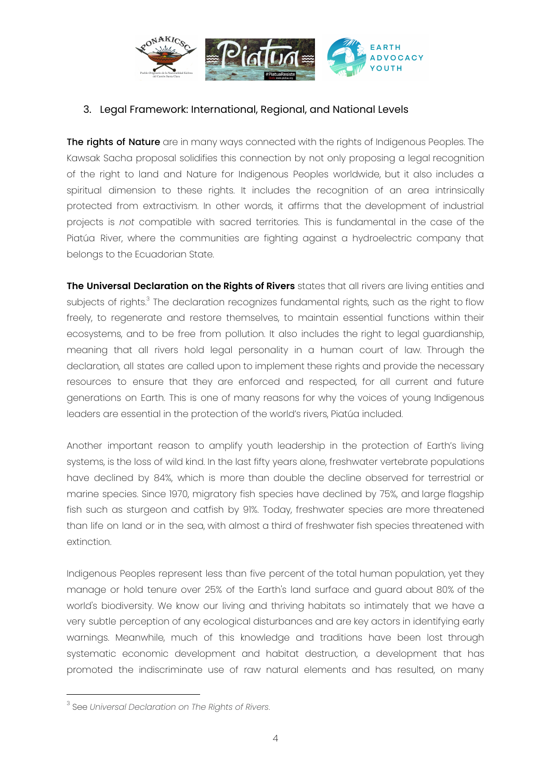

#### 3. Legal Framework: International, Regional, and National Levels

The rights of Nature are in many ways connected with the rights of Indigenous Peoples. The Kawsak Sacha proposal solidifies this connection by not only proposing a legal recognition of the right to land and Nature for Indigenous Peoples worldwide, but it also includes a spiritual dimension to these rights. It includes the recognition of an area intrinsically protected from extractivism. In other words, it affirms that the development of industrial projects is *not* compatible with sacred territories. This is fundamental in the case of the Piatúa River, where the communities are fighting against a hydroelectric company that belongs to the Ecuadorian State.

**The Universal Declaration on the Rights of Rivers** states that all rivers are living entities and subjects of rights.<sup>3</sup> The declaration recognizes fundamental rights, such as the right to flow freely, to regenerate and restore themselves, to maintain essential functions within their ecosystems, and to be free from pollution. It also includes the right to legal guardianship, meaning that all rivers hold legal personality in a human court of law. Through the declaration, all states are called upon to implement these rights and provide the necessary resources to ensure that they are enforced and respected, for all current and future generations on Earth. This is one of many reasons for why the voices of young Indigenous leaders are essential in the protection of the world's rivers, Piatúa included.

Another important reason to amplify youth leadership in the protection of Earth's living systems, is the loss of wild kind. In the last fifty years alone, freshwater vertebrate populations have declined by 84%, which is more than double the decline observed for terrestrial or marine species. Since 1970, migratory fish species have declined by 75%, and large flagship fish such as sturgeon and catfish by 91%. Today, freshwater species are more threatened than life on land or in the sea, with almost a third of freshwater fish species threatened with extinction.

Indigenous Peoples represent less than five percent of the total human population, yet they manage or hold tenure over 25% of the Earth's land surface and guard about 80% of the world's biodiversity. We know our living and thriving habitats so intimately that we have a very subtle perception of any ecological disturbances and are key actors in identifying early warnings. Meanwhile, much of this knowledge and traditions have been lost through systematic economic development and habitat destruction, a development that has promoted the indiscriminate use of raw natural elements and has resulted, on many

<sup>3</sup> See *Universal Declaration on The Rights of Rivers*.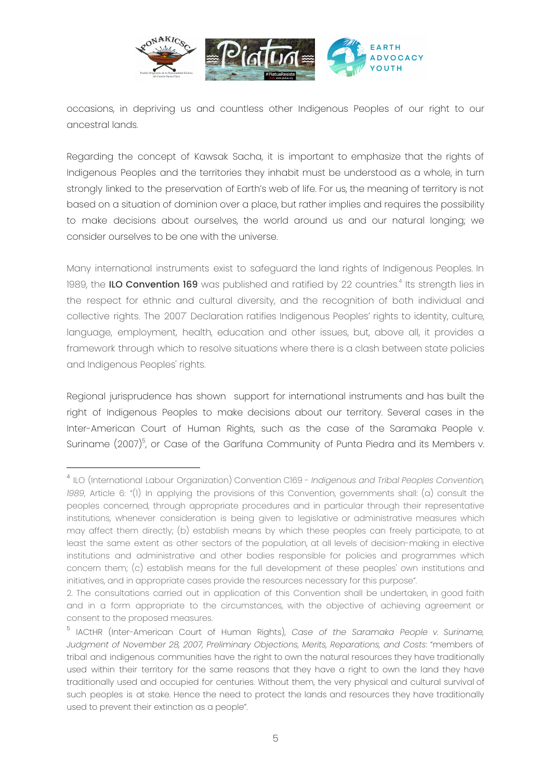

occasions, in depriving us and countless other Indigenous Peoples of our right to our ancestral lands.

Regarding the concept of Kawsak Sacha, it is important to emphasize that the rights of Indigenous Peoples and the territories they inhabit must be understood as a whole, in turn strongly linked to the preservation of Earth's web of life. For us, the meaning of territory is not based on a situation of dominion over a place, but rather implies and requires the possibility to make decisions about ourselves, the world around us and our natural longing; we consider ourselves to be one with the universe.

Many international instruments exist to safeguard the land rights of Indigenous Peoples. In 1989, the **ILO Convention 169** was published and ratified by 22 countries.<sup>4</sup> Its strength lies in the respect for ethnic and cultural diversity, and the recognition of both individual and collective rights. The 2007' Declaration ratifies Indigenous Peoples' rights to identity, culture, language, employment, health, education and other issues, but, above all, it provides a framework through which to resolve situations where there is a clash between state policies and Indigenous Peoples' rights.

Regional jurisprudence has shown support for international instruments and has built the right of Indigenous Peoples to make decisions about our territory. Several cases in the Inter-American Court of Human Rights, such as the case of the Saramaka People v. Suriname (2007)<sup>5</sup>, or Case of the Garífuna Community of Punta Piedra and its Members v.

<sup>4</sup> ILO (International Labour Organization) Convention C169 - *Indigenous and Tribal Peoples Convention, 1989*, Article 6: "(1) In applying the provisions of this Convention, governments shall: (a) consult the peoples concerned, through appropriate procedures and in particular through their representative institutions, whenever consideration is being given to legislative or administrative measures which may affect them directly; (b) establish means by which these peoples can freely participate, to at least the same extent as other sectors of the population, at all levels of decision-making in elective institutions and administrative and other bodies responsible for policies and programmes which concern them; (c) establish means for the full development of these peoples' own institutions and initiatives, and in appropriate cases provide the resources necessary for this purpose".

<sup>2.</sup> The consultations carried out in application of this Convention shall be undertaken, in good faith and in a form appropriate to the circumstances, with the objective of achieving agreement or consent to the proposed measures.

<sup>5</sup> IACtHR (Inter-American Court of Human Rights), *Case of the Saramaka People v. Suriname, Judgment of November 28, 2007, Preliminary Objections, Merits, Reparations, and Costs*: "members of tribal and indigenous communities have the right to own the natural resources they have traditionally used within their territory for the same reasons that they have a right to own the land they have traditionally used and occupied for centuries. Without them, the very physical and cultural survival of such peoples is at stake. Hence the need to protect the lands and resources they have traditionally used to prevent their extinction as a people".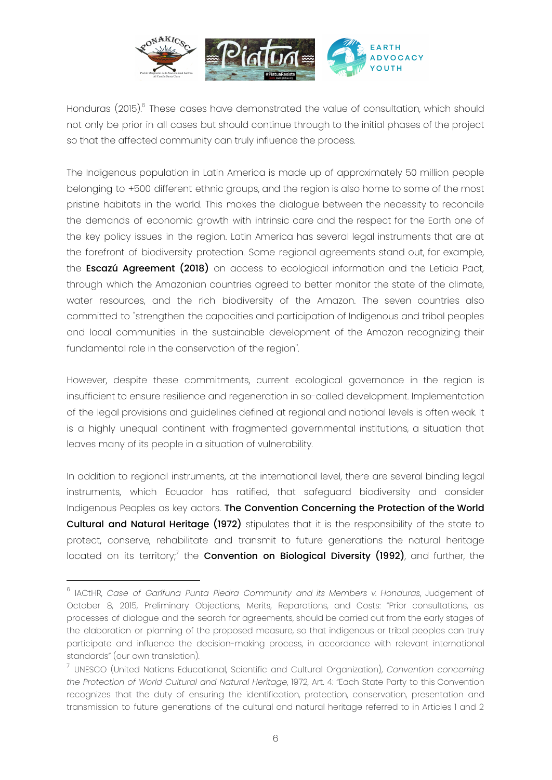

Honduras (2015).<sup>6</sup> These cases have demonstrated the value of consultation, which should not only be prior in all cases but should continue through to the initial phases of the project so that the affected community can truly influence the process.

The Indigenous population in Latin America is made up of approximately 50 million people belonging to +500 different ethnic groups, and the region is also home to some of the most pristine habitats in the world. This makes the dialogue between the necessity to reconcile the demands of economic growth with intrinsic care and the respect for the Earth one of the key policy issues in the region. Latin America has several legal instruments that are at the forefront of biodiversity protection. Some regional agreements stand out, for example, the **Escazú Agreement (2018)** on access to ecological information and the Leticia Pact, through which the Amazonian countries agreed to better monitor the state of the climate, water resources, and the rich biodiversity of the Amazon. The seven countries also committed to "strengthen the capacities and participation of Indigenous and tribal peoples and local communities in the sustainable development of the Amazon recognizing their fundamental role in the conservation of the region''.

However, despite these commitments, current ecological governance in the region is insufficient to ensure resilience and regeneration in so-called development. Implementation of the legal provisions and guidelines defined at regional and national levels is often weak. It is a highly unequal continent with fragmented governmental institutions, a situation that leaves many of its people in a situation of vulnerability.

In addition to regional instruments, at the international level, there are several binding legal instruments, which Ecuador has ratified, that safeguard biodiversity and consider Indigenous Peoples as key actors. The Convention Concerning the Protection of the World Cultural and Natural Heritage (1972) stipulates that it is the responsibility of the state to protect, conserve, rehabilitate and transmit to future generations the natural heritage located on its territory;<sup>7</sup> the **Convention on Biological Diversity (1992)**, and further, the

<sup>6</sup> IACtHR, *Case of Garífuna Punta Piedra Community and its Members v. Honduras*, Judgement of October 8, 2015, Preliminary Objections, Merits, Reparations, and Costs: "Prior consultations, as processes of dialogue and the search for agreements, should be carried out from the early stages of the elaboration or planning of the proposed measure, so that indigenous or tribal peoples can truly participate and influence the decision-making process, in accordance with relevant international standards" (our own translation).

<sup>7</sup> UNESCO (United Nations Educational, Scientific and Cultural Organization), *Convention concerning the Protection of World Cultural and Natural Heritage*, 1972, Art. 4: "Each State Party to this Convention recognizes that the duty of ensuring the identification, protection, conservation, presentation and transmission to future generations of the cultural and natural heritage referred to in Articles 1 and 2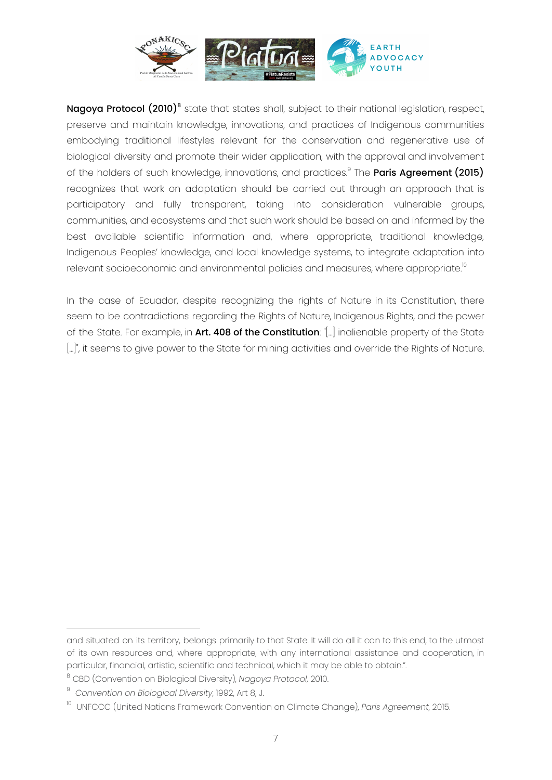

**Nagoya Protocol (2010)**<sup>8</sup> state that states shall, subject to their national legislation, respect, preserve and maintain knowledge, innovations, and practices of Indigenous communities embodying traditional lifestyles relevant for the conservation and regenerative use of biological diversity and promote their wider application, with the approval and involvement of the holders of such knowledge, innovations, and practices.<sup>9</sup> The **Paris Agreement (2015)** recognizes that work on adaptation should be carried out through an approach that is participatory and fully transparent, taking into consideration vulnerable groups, communities, and ecosystems and that such work should be based on and informed by the best available scientific information and, where appropriate, traditional knowledge, Indigenous Peoples' knowledge, and local knowledge systems, to integrate adaptation into relevant socioeconomic and environmental policies and measures, where appropriate. $^{\text{\tiny{10}}}$ 

In the case of Ecuador, despite recognizing the rights of Nature in its Constitution, there seem to be contradictions regarding the Rights of Nature, Indigenous Rights, and the power of the State. For example, in Art. 408 of the Constitution: "[...] inalienable property of the State [...]", it seems to give power to the State for mining activities and override the Rights of Nature.

and situated on its territory, belongs primarily to that State. It will do all it can to this end, to the utmost of its own resources and, where appropriate, with any international assistance and cooperation, in particular, financial, artistic, scientific and technical, which it may be able to obtain.".

<sup>8</sup> CBD (Convention on Biological Diversity), *Nagoya Protocol*, 2010.

<sup>9</sup> *Convention on Biological Diversity*, 1992, Art 8, J.

<sup>10</sup> UNFCCC (United Nations Framework Convention on Climate Change), *Paris Agreement*, 2015.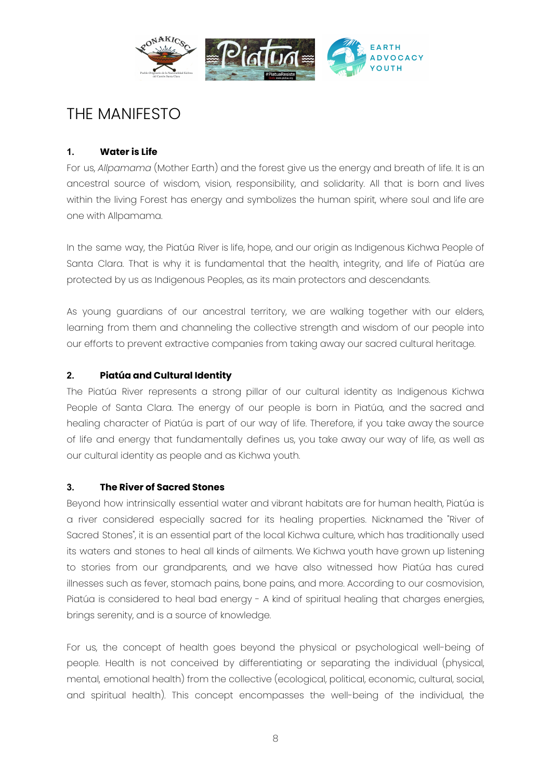

### THE MANIFESTO

#### **1. Water is Life**

For us, *Allpamama* (Mother Earth) and the forest give us the energy and breath of life. It is an ancestral source of wisdom, vision, responsibility, and solidarity. All that is born and lives within the living Forest has energy and symbolizes the human spirit, where soul and life are one with Allpamama.

In the same way, the Piatúa River is life, hope, and our origin as Indigenous Kichwa People of Santa Clara. That is why it is fundamental that the health, integrity, and life of Piatúa are protected by us as Indigenous Peoples, as its main protectors and descendants.

As young guardians of our ancestral territory, we are walking together with our elders, learning from them and channeling the collective strength and wisdom of our people into our efforts to prevent extractive companies from taking away our sacred cultural heritage.

#### **2. Piatúa and Cultural Identity**

The Piatúa River represents a strong pillar of our cultural identity as Indigenous Kichwa People of Santa Clara. The energy of our people is born in Piatúa, and the sacred and healing character of Piatúa is part of our way of life. Therefore, if you take away the source of life and energy that fundamentally defines us, you take away our way of life, as well as our cultural identity as people and as Kichwa youth.

#### **3. The River of Sacred Stones**

Beyond how intrinsically essential water and vibrant habitats are for human health, Piatúa is a river considered especially sacred for its healing properties. Nicknamed the "River of Sacred Stones", it is an essential part of the local Kichwa culture, which has traditionally used its waters and stones to heal all kinds of ailments. We Kichwa youth have grown up listening to stories from our grandparents, and we have also witnessed how Piatúa has cured illnesses such as fever, stomach pains, bone pains, and more. According to our cosmovision, Piatúa is considered to heal bad energy - A kind of spiritual healing that charges energies, brings serenity, and is a source of knowledge.

For us, the concept of health goes beyond the physical or psychological well-being of people. Health is not conceived by differentiating or separating the individual (physical, mental, emotional health) from the collective (ecological, political, economic, cultural, social, and spiritual health). This concept encompasses the well-being of the individual, the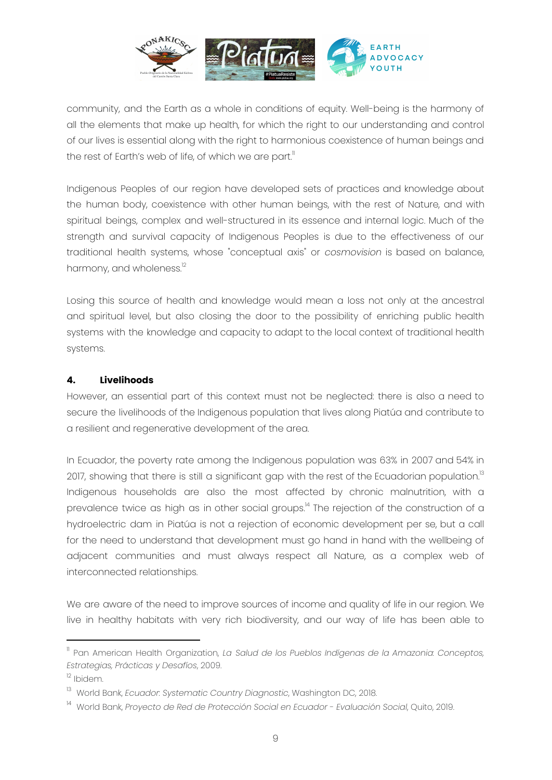

community, and the Earth as a whole in conditions of equity. Well-being is the harmony of all the elements that make up health, for which the right to our understanding and control of our lives is essential along with the right to harmonious coexistence of human beings and the rest of Earth's web of life, of which we are part."

Indigenous Peoples of our region have developed sets of practices and knowledge about the human body, coexistence with other human beings, with the rest of Nature, and with spiritual beings, complex and well-structured in its essence and internal logic. Much of the strength and survival capacity of Indigenous Peoples is due to the effectiveness of our traditional health systems, whose "conceptual axis" or *cosmovision* is based on balance, harmony, and wholeness.<sup>12</sup>

Losing this source of health and knowledge would mean a loss not only at the ancestral and spiritual level, but also closing the door to the possibility of enriching public health systems with the knowledge and capacity to adapt to the local context of traditional health systems.

#### **4. Livelihoods**

However, an essential part of this context must not be neglected: there is also a need to secure the livelihoods of the Indigenous population that lives along Piatúa and contribute to a resilient and regenerative development of the area.

In Ecuador, the poverty rate among the Indigenous population was 63% in 2007 and 54% in 2017, showing that there is still a significant gap with the rest of the Ecuadorian population. $^{\text{ls}}$ Indigenous households are also the most affected by chronic malnutrition, with a prevalence twice as high as in other social groups.<sup>14</sup> The rejection of the construction of a hydroelectric dam in Piatúa is not a rejection of economic development per se, but a call for the need to understand that development must go hand in hand with the wellbeing of adjacent communities and must always respect all Nature, as a complex web of interconnected relationships.

We are aware of the need to improve sources of income and quality of life in our region. We live in healthy habitats with very rich biodiversity, and our way of life has been able to

<sup>11</sup> Pan American Health Organization, *La Salud de los Pueblos Indígenas de la Amazonia: Conceptos, Estrategias, Prácticas y Desafíos*, 2009.

<sup>&</sup>lt;sup>12</sup> Ibidem.

<sup>13</sup> World Bank, *Ecuador: Systematic Country Diagnostic*, Washington DC, 2018.

<sup>14</sup> World Bank, *Proyecto de Red de Protección Social en Ecuador - Evaluación Social*, Quito, 2019.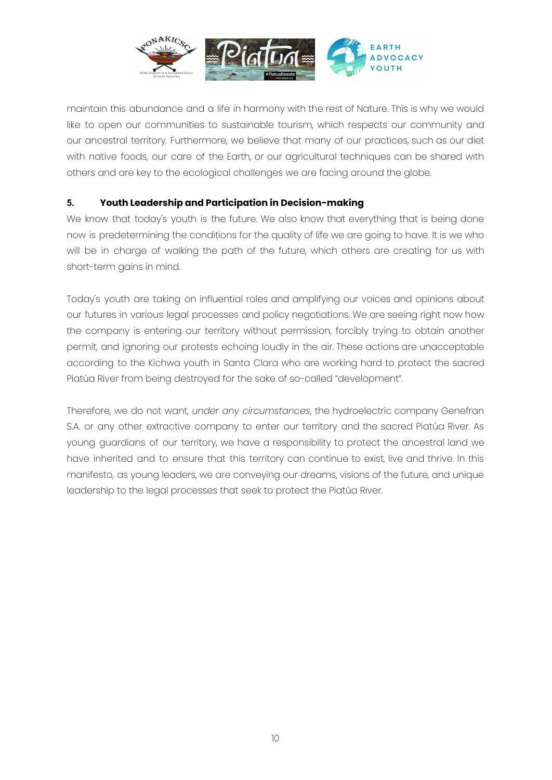

maintain this abundance and a life in harmony with the rest of Nature. This is why we would like to open our communities to sustainable tourism, which respects our community and our ancestral territory. Furthermore, we believe that many of our practices, such as our diet with native foods, our care of the Earth, or our agricultural techniques can be shared with others and are key to the ecological challenges we are facing around the globe.

#### **5. Youth Leadership and Participation in Decision-making**

We know that today's youth is the future. We also know that everything that is being done now is predetermining the conditions for the quality of life we are going to have. It is we who will be in charge of walking the path of the future, which others are creating for us with short-term gains in mind.

Today's youth are taking on influential roles and amplifying our voices and opinions about our futures in various legal processes and policy negotiations. We are seeing right now how the company is entering our territory without permission, forcibly trying to obtain another permit, and ignoring our protests echoing loudly in the air. These actions are unacceptable according to the Kichwa youth in Santa Clara who are working hard to protect the sacred Piatúa River from being destroyed for the sake of so-called "development".

Therefore, we do not want, *under any circumstances*, the hydroelectric company Genefran S.A. or any other extractive company to enter our territory and the sacred Piatúa River. As young guardians of our territory, we have a responsibility to protect the ancestral land we have inherited and to ensure that this territory can continue to exist, live and thrive. In this manifesto, as young leaders, we are conveying our dreams, visions of the future, and unique leadership to the legal processes that seek to protect the Piatúa River.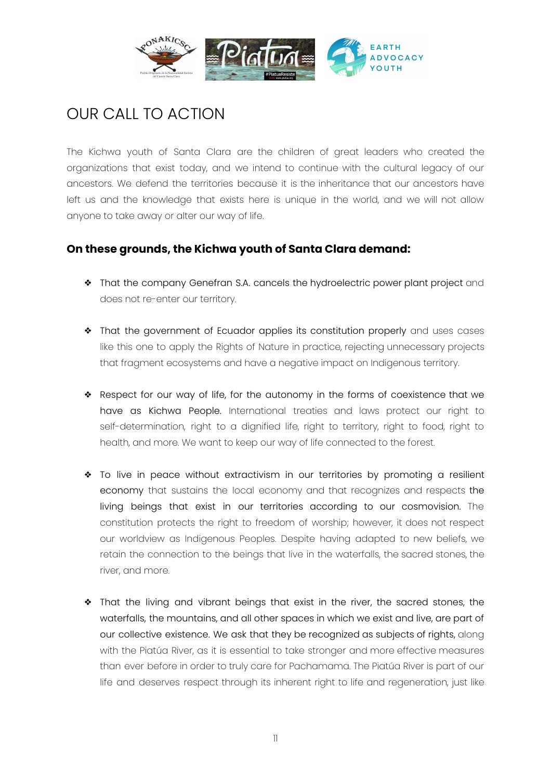

## OUR CALL TO ACTION

The Kichwa youth of Santa Clara are the children of great leaders who created the organizations that exist today, and we intend to continue with the cultural legacy of our ancestors. We defend the territories because it is the inheritance that our ancestors have left us and the knowledge that exists here is unique in the world, and we will not allow anyone to take away or alter our way of life.

#### **On these grounds, the Kichwa youth of Santa Clara demand:**

- ❖ That the company Genefran S.A. cancels the hydroelectric power plant project and does not re-enter our territory.
- ❖ That the government of Ecuador applies its constitution properly and uses cases like this one to apply the Rights of Nature in practice, rejecting unnecessary projects that fragment ecosystems and have a negative impact on Indigenous territory.
- ❖ Respect for our way of life, for the autonomy in the forms of coexistence that we have as Kichwa People. International treaties and laws protect our right to self-determination, right to a dignified life, right to territory, right to food, right to health, and more. We want to keep our way of life connected to the forest.
- ❖ To live in peace without extractivism in our territories by promoting a resilient economy that sustains the local economy and that recognizes and respects the living beings that exist in our territories according to our cosmovision. The constitution protects the right to freedom of worship; however, it does not respect our worldview as Indigenous Peoples. Despite having adapted to new beliefs, we retain the connection to the beings that live in the waterfalls, the sacred stones, the river, and more.
- ❖ That the living and vibrant beings that exist in the river, the sacred stones, the waterfalls, the mountains, and all other spaces in which we exist and live, are part of our collective existence. We ask that they be recognized as subjects of rights, along with the Piatúa River, as it is essential to take stronger and more effective measures than ever before in order to truly care for Pachamama. The Piatúa River is part of our life and deserves respect through its inherent right to life and regeneration, just like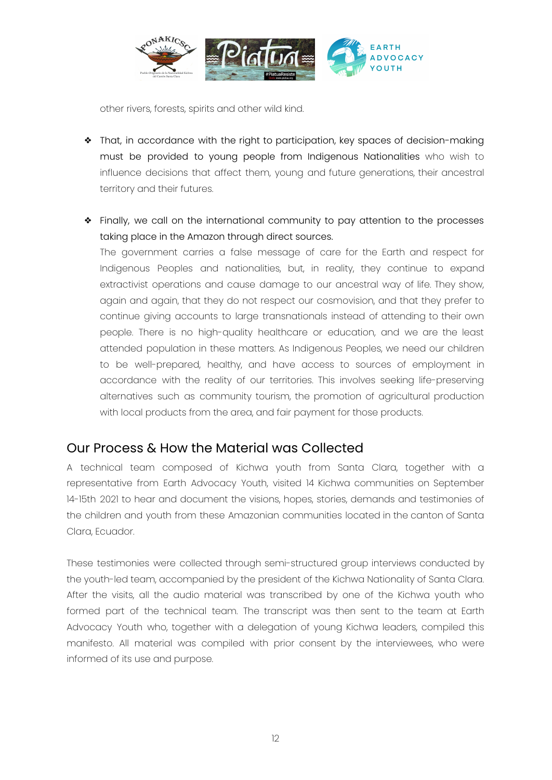

other rivers, forests, spirits and other wild kind.

- ❖ That, in accordance with the right to participation, key spaces of decision-making must be provided to young people from Indigenous Nationalities who wish to influence decisions that affect them, young and future generations, their ancestral territory and their futures.
- ❖ Finally, we call on the international community to pay attention to the processes taking place in the Amazon through direct sources.

The government carries a false message of care for the Earth and respect for Indigenous Peoples and nationalities, but, in reality, they continue to expand extractivist operations and cause damage to our ancestral way of life. They show, again and again, that they do not respect our cosmovision, and that they prefer to continue giving accounts to large transnationals instead of attending to their own people. There is no high-quality healthcare or education, and we are the least attended population in these matters. As Indigenous Peoples, we need our children to be well-prepared, healthy, and have access to sources of employment in accordance with the reality of our territories. This involves seeking life-preserving alternatives such as community tourism, the promotion of agricultural production with local products from the area, and fair payment for those products.

#### Our Process & How the Material was Collected

A technical team composed of Kichwa youth from Santa Clara, together with a representative from Earth Advocacy Youth, visited 14 Kichwa communities on September 14-15th 2021 to hear and document the visions, hopes, stories, demands and testimonies of the children and youth from these Amazonian communities located in the canton of Santa Clara, Ecuador.

These testimonies were collected through semi-structured group interviews conducted by the youth-led team, accompanied by the president of the Kichwa Nationality of Santa Clara. After the visits, all the audio material was transcribed by one of the Kichwa youth who formed part of the technical team. The transcript was then sent to the team at Earth Advocacy Youth who, together with a delegation of young Kichwa leaders, compiled this manifesto. All material was compiled with prior consent by the interviewees, who were informed of its use and purpose.